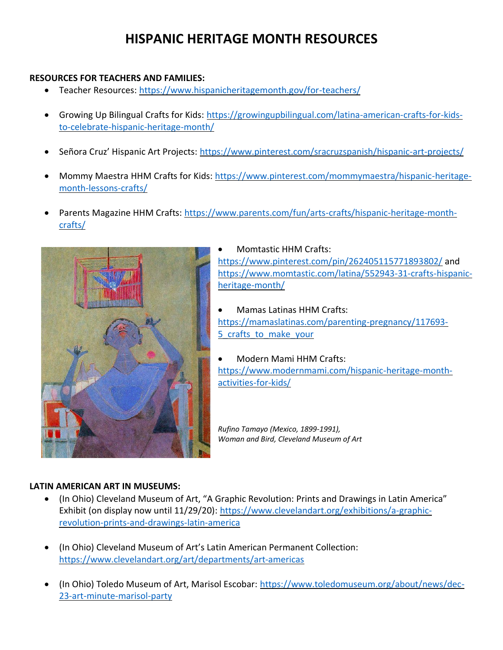# **HISPANIC HERITAGE MONTH RESOURCES**

### **RESOURCES FOR TEACHERS AND FAMILIES:**

- Teacher Resources:<https://www.hispanicheritagemonth.gov/for-teachers/>
- Growing Up Bilingual Crafts for Kids: [https://growingupbilingual.com/latina-american-crafts-for-kids](https://growingupbilingual.com/latina-american-crafts-for-kids-to-celebrate-hispanic-heritage-month/)[to-celebrate-hispanic-heritage-month/](https://growingupbilingual.com/latina-american-crafts-for-kids-to-celebrate-hispanic-heritage-month/)
- Señora Cruz' Hispanic Art Projects: <https://www.pinterest.com/sracruzspanish/hispanic-art-projects/>
- Mommy Maestra HHM Crafts for Kids: [https://www.pinterest.com/mommymaestra/hispanic-heritage](https://www.pinterest.com/mommymaestra/hispanic-heritage-month-lessons-crafts/)[month-lessons-crafts/](https://www.pinterest.com/mommymaestra/hispanic-heritage-month-lessons-crafts/)
- Parents Magazine HHM Crafts: [https://www.parents.com/fun/arts-crafts/hispanic-heritage-month](https://www.parents.com/fun/arts-crafts/hispanic-heritage-month-crafts/)[crafts/](https://www.parents.com/fun/arts-crafts/hispanic-heritage-month-crafts/)



• Momtastic HHM Crafts: <https://www.pinterest.com/pin/262405115771893802/> and [https://www.momtastic.com/latina/552943-31-crafts-hispanic](https://www.momtastic.com/latina/552943-31-crafts-hispanic-heritage-month/)[heritage-month/](https://www.momtastic.com/latina/552943-31-crafts-hispanic-heritage-month/)

• Mamas Latinas HHM Crafts: [https://mamaslatinas.com/parenting-pregnancy/117693-](https://mamaslatinas.com/parenting-pregnancy/117693-5_crafts_to_make_your) 5 crafts to make your

• Modern Mami HHM Crafts: [https://www.modernmami.com/hispanic-heritage-month](https://www.modernmami.com/hispanic-heritage-month-activities-for-kids/)[activities-for-kids/](https://www.modernmami.com/hispanic-heritage-month-activities-for-kids/)

*Rufino Tamayo (Mexico, 1899-1991), Woman and Bird, Cleveland Museum of Art*

#### **LATIN AMERICAN ART IN MUSEUMS:**

- (In Ohio) Cleveland Museum of Art, "A Graphic Revolution: Prints and Drawings in Latin America" Exhibit (on display now until 11/29/20): [https://www.clevelandart.org/exhibitions/a-graphic](https://www.clevelandart.org/exhibitions/a-graphic-revolution-prints-and-drawings-latin-america)[revolution-prints-and-drawings-latin-america](https://www.clevelandart.org/exhibitions/a-graphic-revolution-prints-and-drawings-latin-america)
- (In Ohio) Cleveland Museum of Art's Latin American Permanent Collection: <https://www.clevelandart.org/art/departments/art-americas>
- (In Ohio) Toledo Museum of Art, Marisol Escobar: [https://www.toledomuseum.org/about/news/dec-](https://www.toledomuseum.org/about/news/dec-23-art-minute-marisol-party)[23-art-minute-marisol-party](https://www.toledomuseum.org/about/news/dec-23-art-minute-marisol-party)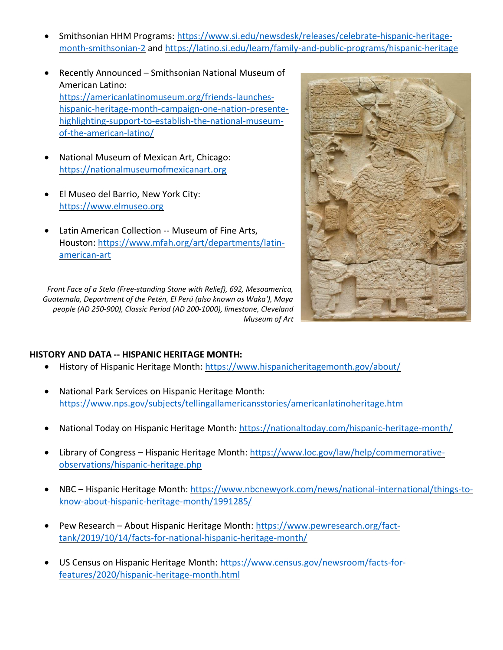- Smithsonian HHM Programs: [https://www.si.edu/newsdesk/releases/celebrate-hispanic-heritage](https://www.si.edu/newsdesk/releases/celebrate-hispanic-heritage-month-smithsonian-2)[month-smithsonian-2](https://www.si.edu/newsdesk/releases/celebrate-hispanic-heritage-month-smithsonian-2) and<https://latino.si.edu/learn/family-and-public-programs/hispanic-heritage>
- Recently Announced Smithsonian National Museum of American Latino: [https://americanlatinomuseum.org/friends-launches](https://americanlatinomuseum.org/friends-launches-hispanic-heritage-month-campaign-one-nation-presente-highlighting-support-to-establish-the-national-museum-of-the-american-latino/)[hispanic-heritage-month-campaign-one-nation-presente](https://americanlatinomuseum.org/friends-launches-hispanic-heritage-month-campaign-one-nation-presente-highlighting-support-to-establish-the-national-museum-of-the-american-latino/)[highlighting-support-to-establish-the-national-museum](https://americanlatinomuseum.org/friends-launches-hispanic-heritage-month-campaign-one-nation-presente-highlighting-support-to-establish-the-national-museum-of-the-american-latino/)[of-the-american-latino/](https://americanlatinomuseum.org/friends-launches-hispanic-heritage-month-campaign-one-nation-presente-highlighting-support-to-establish-the-national-museum-of-the-american-latino/)
- National Museum of Mexican Art, Chicago: [https://nationalmuseumofmexicanart.org](https://nationalmuseumofmexicanart.org/)
- El Museo del Barrio, New York City: [https://www.elmuseo.org](https://www.elmuseo.org/)
- Latin American Collection -- Museum of Fine Arts, Houston: [https://www.mfah.org/art/departments/latin](https://www.mfah.org/art/departments/latin-american-art)[american-art](https://www.mfah.org/art/departments/latin-american-art)





#### **HISTORY AND DATA -- HISPANIC HERITAGE MONTH:**

- History of Hispanic Heritage Month:<https://www.hispanicheritagemonth.gov/about/>
- National Park Services on Hispanic Heritage Month: <https://www.nps.gov/subjects/tellingallamericansstories/americanlatinoheritage.htm>
- National Today on Hispanic Heritage Month:<https://nationaltoday.com/hispanic-heritage-month/>
- Library of Congress Hispanic Heritage Month: [https://www.loc.gov/law/help/commemorative](https://www.loc.gov/law/help/commemorative-observations/hispanic-heritage.php)[observations/hispanic-heritage.php](https://www.loc.gov/law/help/commemorative-observations/hispanic-heritage.php)
- NBC Hispanic Heritage Month: [https://www.nbcnewyork.com/news/national-international/things-to](https://www.nbcnewyork.com/news/national-international/things-to-know-about-hispanic-heritage-month/1991285/)[know-about-hispanic-heritage-month/1991285/](https://www.nbcnewyork.com/news/national-international/things-to-know-about-hispanic-heritage-month/1991285/)
- Pew Research About Hispanic Heritage Month: [https://www.pewresearch.org/fact](https://www.pewresearch.org/fact-tank/2019/10/14/facts-for-national-hispanic-heritage-month/)[tank/2019/10/14/facts-for-national-hispanic-heritage-month/](https://www.pewresearch.org/fact-tank/2019/10/14/facts-for-national-hispanic-heritage-month/)
- US Census on Hispanic Heritage Month: [https://www.census.gov/newsroom/facts-for](https://www.census.gov/newsroom/facts-for-features/2020/hispanic-heritage-month.html)[features/2020/hispanic-heritage-month.html](https://www.census.gov/newsroom/facts-for-features/2020/hispanic-heritage-month.html)